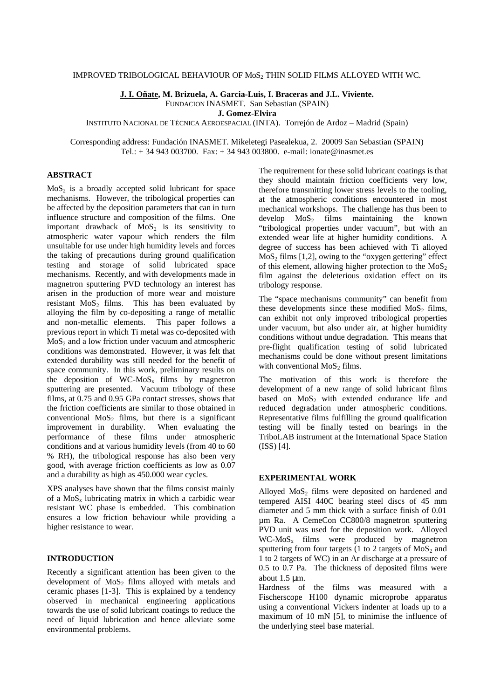## IMPROVED TRIBOLOGICAL BEHAVIOUR OF MoS2 THIN SOLID FILMS ALLOYED WITH WC.

**J. I. Oñate, M. Brizuela, A. Garcia-Luis, I. Braceras and J.L. Viviente.**

FUNDACION INASMET. San Sebastian (SPAIN)

**J. Gomez-Elvira**

INSTITUTO NACIONAL DE TÉCNICA AEROESPACIAL (INTA). Torrejón de Ardoz – Madrid (Spain)

Corresponding address: Fundación INASMET. Mikeletegi Pasealekua, 2. 20009 San Sebastian (SPAIN) Tel.:  $+ 34943003700$ . Fax:  $+ 34943003800$ . e-mail: ionate@inasmet.es

# **ABSTRACT**

 $MoS<sub>2</sub>$  is a broadly accepted solid lubricant for space mechanisms. However, the tribological properties can be affected by the deposition parameters that can in turn influence structure and composition of the films. One important drawback of  $\overline{MoS}_2$  is its sensitivity to atmospheric water vapour which renders the film unsuitable for use under high humidity levels and forces the taking of precautions during ground qualification testing and storage of solid lubricated space mechanisms. Recently, and with developments made in magnetron sputtering PVD technology an interest has arisen in the production of more wear and moisture resistant  $MoS<sub>2</sub>$  films. This has been evaluated by alloying the film by co-depositing a range of metallic and non-metallic elements. This paper follows a previous report in which Ti metal was co-deposited with  $MoS<sub>2</sub>$  and a low friction under vacuum and atmospheric conditions was demonstrated. However, it was felt that extended durability was still needed for the benefit of space community. In this work, preliminary results on the deposition of  $WC-MoS<sub>x</sub>$  films by magnetron sputtering are presented. Vacuum tribology of these films, at 0.75 and 0.95 GPa contact stresses, shows that the friction coefficients are similar to those obtained in conventional  $MoS<sub>2</sub>$  films, but there is a significant improvement in durability. When evaluating the performance of these films under atmospheric conditions and at various humidity levels (from 40 to 60 % RH), the tribological response has also been very good, with average friction coefficients as low as 0.07 and a durability as high as 450.000 wear cycles.

XPS analyses have shown that the films consist mainly of a  $MoS_x$  lubricating matrix in which a carbidic wear resistant WC phase is embedded. This combination ensures a low friction behaviour while providing a higher resistance to wear.

# **INTRODUCTION**

Recently a significant attention has been given to the development of  $MoS<sub>2</sub>$  films alloyed with metals and ceramic phases [1-3]. This is explained by a tendency observed in mechanical engineering applications towards the use of solid lubricant coatings to reduce the need of liquid lubrication and hence alleviate some environmental problems.

The requirement for these solid lubricant coatings is that they should maintain friction coefficients very low, therefore transmitting lower stress levels to the tooling, at the atmospheric conditions encountered in most mechanical workshops. The challenge has thus been to develop  $MoS<sub>2</sub>$  films maintaining the known "tribological properties under vacuum", but with an extended wear life at higher humidity conditions. A degree of success has been achieved with Ti alloyed  $MoS<sub>2</sub>$  films [1,2], owing to the "oxygen gettering" effect of this element, allowing higher protection to the  $MoS<sub>2</sub>$ film against the deleterious oxidation effect on its tribology response.

The "space mechanisms community" can benefit from these developments since these modified  $MoS<sub>2</sub>$  films, can exhibit not only improved tribological properties under vacuum, but also under air, at higher humidity conditions without undue degradation. This means that pre-flight qualification testing of solid lubricated mechanisms could be done without present limitations with conventional  $MoS<sub>2</sub>$  films.

The motivation of this work is therefore the development of a new range of solid lubricant films based on  $MoS<sub>2</sub>$  with extended endurance life and reduced degradation under atmospheric conditions. Representative films fulfilling the ground qualification testing will be finally tested on bearings in the TriboLAB instrument at the International Space Station (ISS) [4].

# **EXPERIMENTAL WORK**

Alloyed  $MoS<sub>2</sub>$  films were deposited on hardened and tempered AISI 440C bearing steel discs of 45 mm diameter and 5 mm thick with a surface finish of 0.01 µm Ra. A CemeCon CC800/8 magnetron sputtering PVD unit was used for the deposition work. Alloyed  $WC-MoS<sub>x</sub>$  films were produced by magnetron sputtering from four targets (1 to 2 targets of  $MoS<sub>2</sub>$  and 1 to 2 targets of WC) in an Ar discharge at a pressure of 0.5 to 0.7 Pa. The thickness of deposited films were about 1.5 μm.

Hardness of the films was measured with a Fischerscope H100 dynamic microprobe apparatus using a conventional Vickers indenter at loads up to a maximum of 10 mN [5], to minimise the influence of the underlying steel base material.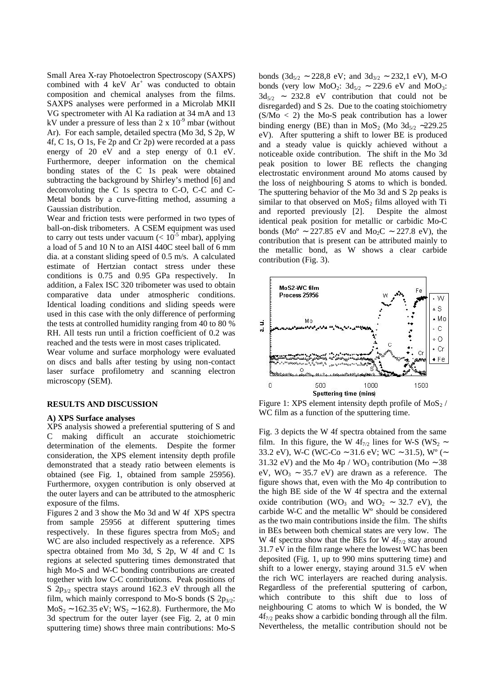Small Area X-ray Photoelectron Spectroscopy (SAXPS) combined with  $4 \text{ keV}$   $\text{Ar}^+$  was conducted to obtain composition and chemical analyses from the films. SAXPS analyses were performed in a Microlab MKII VG spectrometer with Al Ka radiation at 34 mA and 13 kV under a pressure of less than  $2 \times 10^{-9}$  mbar (without Ar). For each sample, detailed spectra (Mo 3d, S 2p, W 4f, C 1s, O 1s, Fe 2p and Cr 2p) were recorded at a pass energy of 20 eV and a step energy of 0.1 eV. Furthermore, deeper information on the chemical bonding states of the C 1s peak were obtained subtracting the background by Shirley's method [6] and deconvoluting the C 1s spectra to C-O, C-C and C-Metal bonds by a curve-fitting method, assuming a Gaussian distribution.

Wear and friction tests were performed in two types of ball-on-disk tribometers. A CSEM equipment was used to carry out tests under vacuum ( $< 10<sup>5</sup>$  mbar), applying a load of 5 and 10 N to an AISI 440C steel ball of 6 mm dia. at a constant sliding speed of 0.5 m/s. A calculated estimate of Hertzian contact stress under these conditions is 0.75 and 0.95 GPa respectively. In addition, a Falex ISC 320 tribometer was used to obtain comparative data under atmospheric conditions. Identical loading conditions and sliding speeds were used in this case with the only difference of performing the tests at controlled humidity ranging from 40 to 80 % RH. All tests run until a friction coefficient of 0.2 was reached and the tests were in most cases triplicated.

Wear volume and surface morphology were evaluated on discs and balls after testing by using non-contact laser surface profilometry and scanning electron microscopy (SEM).

# **RESULTS AND DISCUSSION**

#### **A) XPS Surface analyses**

XPS analysis showed a preferential sputtering of S and C making difficult an accurate stoichiometric determination of the elements. Despite the former consideration, the XPS element intensity depth profile demonstrated that a steady ratio between elements is obtained (see Fig. 1, obtained from sample 25956). Furthermore, oxygen contribution is only observed at the outer layers and can be attributed to the atmospheric exposure of the films.

Figures 2 and 3 show the Mo 3d and W 4f XPS spectra from sample 25956 at different sputtering times respectively. In these figures spectra from  $MoS<sub>2</sub>$  and WC are also included respectively as a reference. XPS spectra obtained from Mo 3d, S 2p, W 4f and C 1s regions at selected sputtering times demonstrated that high Mo-S and W-C bonding contributions are created together with low C-C contributions. Peak positions of S  $2p_{3/2}$  spectra stays around 162.3 eV through all the film, which mainly correspond to Mo-S bonds (S  $2p_{3/2}$ :  $MoS<sub>2</sub> ~ 162.35 eV; WS<sub>2</sub> ~ 162.8$ . Furthermore, the Mo 3d spectrum for the outer layer (see Fig. 2, at 0 min sputtering time) shows three main contributions: Mo-S

bonds (3d<sub>5/2</sub> ~ 228,8 eV; and 3d<sub>3/2</sub> ~ 232,1 eV), M-O bonds (very low MoO<sub>2</sub>:  $3d_{5/2} \sim 229.6$  eV and MoO<sub>3</sub>:  $3d_{5/2}$  ∼ 232.8 eV contribution that could not be disregarded) and S 2s. Due to the coating stoichiometry  $(S/Mo < 2)$  the Mo-S peak contribution has a lower binding energy (BE) than in MoS<sub>2</sub> (Mo 3d<sub>5/2</sub> ∼229.25) eV). After sputtering a shift to lower BE is produced and a steady value is quickly achieved without a noticeable oxide contribution. The shift in the Mo 3d peak position to lower BE reflects the changing electrostatic environment around Mo atoms caused by the loss of neighbouring S atoms to which is bonded. The sputtering behavior of the Mo 3d and S 2p peaks is similar to that observed on  $MoS<sub>2</sub>$  films alloyed with Ti and reported previously [2]. Despite the almost identical peak position for metallic or carbidic Mo-C bonds (Mo<sup>o</sup> ∼ 227.85 eV and Mo<sub>2</sub>C ∼ 227.8 eV), the contribution that is present can be attributed mainly to the metallic bond, as W shows a clear carbide contribution (Fig. 3).



Figure 1: XPS element intensity depth profile of  $MoS_2$  / WC film as a function of the sputtering time.

Fig. 3 depicts the W 4f spectra obtained from the same film. In this figure, the W 4f<sub>7/2</sub> lines for W-S (WS<sub>2</sub> ∼ 33.2 eV), W-C (WC-Co ∼ 31.6 eV; WC ∼ 31.5), Wº (∼ 31.32 eV) and the Mo 4p / WO<sub>3</sub> contribution (Mo ~ 38 eV, WO<sub>3</sub> ∼ 35.7 eV) are drawn as a reference. The figure shows that, even with the Mo 4p contribution to the high BE side of the W 4f spectra and the external oxide contribution (WO<sub>3</sub> and WO<sub>2</sub> ~ 32.7 eV), the carbide W-C and the metallic Wº should be considered as the two main contributions inside the film. The shifts in BEs between both chemical states are very low. The W 4f spectra show that the BEs for W  $4f_{7/2}$  stay around 31.7 eV in the film range where the lowest WC has been deposited (Fig. 1, up to 990 mins sputtering time) and shift to a lower energy, staying around 31.5 eV when the rich WC interlayers are reached during analysis. Regardless of the preferential sputtering of carbon, which contribute to this shift due to loss of neighbouring C atoms to which W is bonded, the W  $4f_{7/2}$  peaks show a carbidic bonding through all the film. Nevertheless, the metallic contribution should not be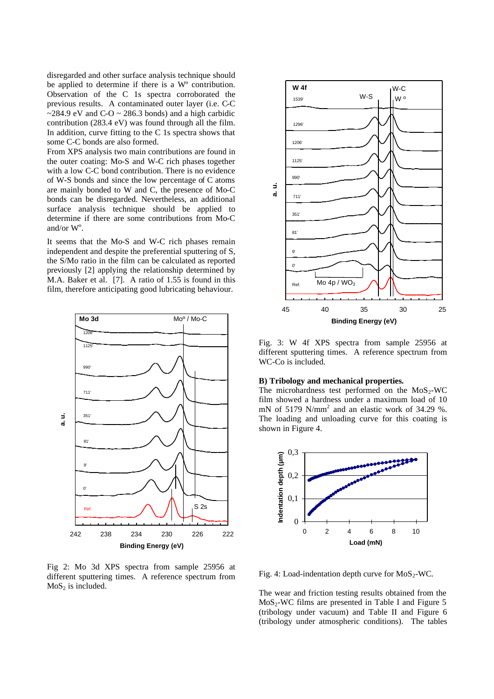disregarded and other surface analysis technique should be applied to determine if there is a Wº contribution. Observation of the C 1s spectra corroborated the previous results. A contaminated outer layer (i.e. C-C  $\sim$ 284.9 eV and C-O  $\sim$  286.3 bonds) and a high carbidic contribution (283.4 eV) was found through all the film. In addition, curve fitting to the C 1s spectra shows that some C-C bonds are also formed.

From XPS analysis two main contributions are found in the outer coating: Mo-S and W-C rich phases together with a low C-C bond contribution. There is no evidence of W-S bonds and since the low percentage of C atoms are mainly bonded to W and C, the presence of Mo-C bonds can be disregarded. Nevertheless, an additional surface analysis technique should be applied to determine if there are some contributions from Mo-C and/or  $W^{\circ}$ .

It seems that the Mo-S and W-C rich phases remain independent and despite the preferential sputtering of S, the S/Mo ratio in the film can be calculated as reported previously [2] applying the relationship determined by M.A. Baker et al. [7]. A ratio of 1.55 is found in this film, therefore anticipating good lubricating behaviour.



Fig 2: Mo 3d XPS spectra from sample 25956 at different sputtering times. A reference spectrum from  $MoS<sub>2</sub>$  is included.



Fig. 3: W 4f XPS spectra from sample 25956 at different sputtering times. A reference spectrum from WC-Co is included.

## **B) Tribology and mechanical properties.**

The microhardness test performed on the  $MoS<sub>2</sub>-WC$ film showed a hardness under a maximum load of 10 mN of 5179  $N/mm^2$  and an elastic work of 34.29 %. The loading and unloading curve for this coating is shown in Figure 4.



Fig. 4: Load-indentation depth curve for  $MoS_2-WC$ .

The wear and friction testing results obtained from the  $MoS<sub>2</sub>-WC$  films are presented in Table I and Figure 5 (tribology under vacuum) and Table II and Figure 6 (tribology under atmospheric conditions). The tables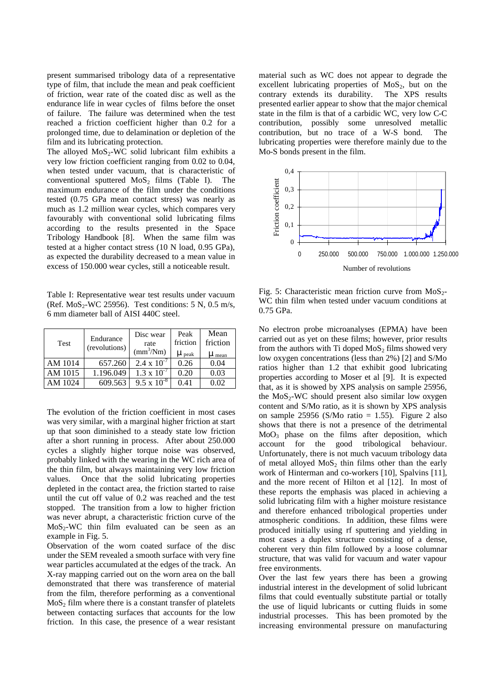present summarised tribology data of a representative type of film, that include the mean and peak coefficient of friction, wear rate of the coated disc as well as the endurance life in wear cycles of films before the onset of failure. The failure was determined when the test reached a friction coefficient higher than 0.2 for a prolonged time, due to delamination or depletion of the film and its lubricating protection.

The alloyed  $MoS_2-WC$  solid lubricant film exhibits a very low friction coefficient ranging from 0.02 to 0.04, when tested under vacuum, that is characteristic of conventional sputtered  $MoS<sub>2</sub>$  films (Table I). The maximum endurance of the film under the conditions tested (0.75 GPa mean contact stress) was nearly as much as 1.2 million wear cycles, which compares very favourably with conventional solid lubricating films according to the results presented in the Space Tribology Handbook [8]. When the same film was tested at a higher contact stress (10 N load, 0.95 GPa), as expected the durability decreased to a mean value in excess of 150.000 wear cycles, still a noticeable result.

Table I: Representative wear test results under vacuum (Ref.  $MoS_2-WC 25956$ ). Test conditions: 5 N, 0.5 m/s, 6 mm diameter ball of AISI 440C steel.

| <b>Test</b> | Endurance<br>(revolutions) | Disc wear<br>rate<br>$\text{(mm}^3/\text{Nm})$ | Peak<br>friction<br>$\mu$ peak | Mean<br>friction<br>$\mu$ mean |
|-------------|----------------------------|------------------------------------------------|--------------------------------|--------------------------------|
| AM 1014     | 657.260                    | $2.4 \times 10^{-7}$                           | 0.26                           | 0.04                           |
| AM 1015     | 1.196.049                  | $1.3 \times 10^{-7}$                           | 0.20                           | 0.03                           |
| AM 1024     | 609.563                    | $9.5 \times 10^{-8}$                           | 0.41                           | 0.02                           |

The evolution of the friction coefficient in most cases was very similar, with a marginal higher friction at start up that soon diminished to a steady state low friction after a short running in process. After about 250.000 cycles a slightly higher torque noise was observed, probably linked with the wearing in the WC rich area of the thin film, but always maintaining very low friction values. Once that the solid lubricating properties depleted in the contact area, the friction started to raise until the cut off value of 0.2 was reached and the test stopped. The transition from a low to higher friction was never abrupt, a characteristic friction curve of the  $MoS<sub>2</sub>-WC$  thin film evaluated can be seen as an example in Fig. 5.

Observation of the worn coated surface of the disc under the SEM revealed a smooth surface with very fine wear particles accumulated at the edges of the track. An X-ray mapping carried out on the worn area on the ball demonstrated that there was transference of material from the film, therefore performing as a conventional  $MoS<sub>2</sub>$  film where there is a constant transfer of platelets between contacting surfaces that accounts for the low friction. In this case, the presence of a wear resistant material such as WC does not appear to degrade the excellent lubricating properties of  $MoS<sub>2</sub>$ , but on the contrary extends its durability. The XPS results presented earlier appear to show that the major chemical state in the film is that of a carbidic WC, very low C-C contribution, possibly some unresolved metallic contribution, but no trace of a W-S bond. The lubricating properties were therefore mainly due to the Mo-S bonds present in the film.



Fig. 5: Characteristic mean friction curve from  $MoS<sub>2</sub>$ -WC thin film when tested under vacuum conditions at 0.75 GPa.

No electron probe microanalyses (EPMA) have been carried out as yet on these films; however, prior results from the authors with Ti doped  $MoS<sub>2</sub>$  films showed very low oxygen concentrations (less than 2%) [2] and S/Mo ratios higher than 1.2 that exhibit good lubricating properties according to Moser et al [9]. It is expected that, as it is showed by XPS analysis on sample 25956, the  $MoS<sub>2</sub>-WC$  should present also similar low oxygen content and S/Mo ratio, as it is shown by XPS analysis on sample 25956 (S/Mo ratio  $= 1.55$ ). Figure 2 also shows that there is not a presence of the detrimental  $MoO<sub>3</sub>$  phase on the films after deposition, which account for the good tribological behaviour. Unfortunately, there is not much vacuum tribology data of metal alloyed  $MoS<sub>2</sub>$  thin films other than the early work of Hinterman and co-workers [10], Spalvins [11], and the more recent of Hilton et al [12]. In most of these reports the emphasis was placed in achieving a solid lubricating film with a higher moisture resistance and therefore enhanced tribological properties under atmospheric conditions. In addition, these films were produced initially using rf sputtering and yielding in most cases a duplex structure consisting of a dense, coherent very thin film followed by a loose columnar structure, that was valid for vacuum and water vapour free environments.

Over the last few years there has been a growing industrial interest in the development of solid lubricant films that could eventually substitute partial or totally the use of liquid lubricants or cutting fluids in some industrial processes. This has been promoted by the increasing environmental pressure on manufacturing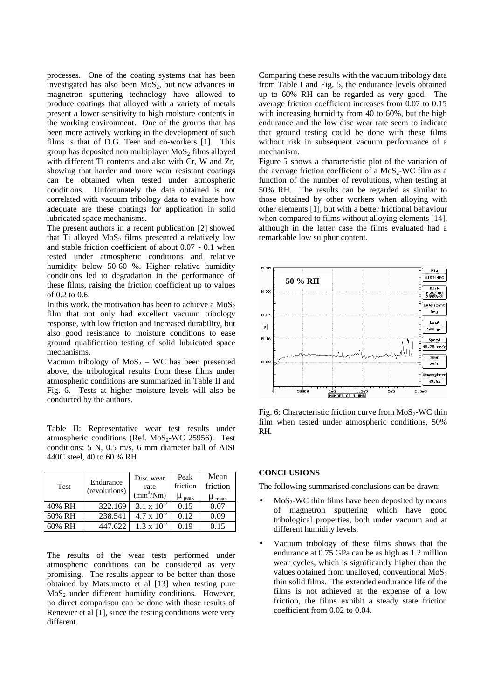processes. One of the coating systems that has been investigated has also been  $MoS<sub>2</sub>$ , but new advances in magnetron sputtering technology have allowed to produce coatings that alloyed with a variety of metals present a lower sensitivity to high moisture contents in the working environment. One of the groups that has been more actively working in the development of such films is that of D.G. Teer and co-workers [1]. This group has deposited non multiplayer  $MoS<sub>2</sub>$  films alloyed with different Ti contents and also with Cr, W and Zr, showing that harder and more wear resistant coatings can be obtained when tested under atmospheric conditions. Unfortunately the data obtained is not correlated with vacuum tribology data to evaluate how adequate are these coatings for application in solid lubricated space mechanisms.

The present authors in a recent publication [2] showed that Ti alloyed  $MoS<sub>2</sub>$  films presented a relatively low and stable friction coefficient of about 0.07 - 0.1 when tested under atmospheric conditions and relative humidity below 50-60 %. Higher relative humidity conditions led to degradation in the performance of these films, raising the friction coefficient up to values of 0.2 to 0.6.

In this work, the motivation has been to achieve a  $MoS<sub>2</sub>$ film that not only had excellent vacuum tribology response, with low friction and increased durability, but also good resistance to moisture conditions to ease ground qualification testing of solid lubricated space mechanisms.

Vacuum tribology of  $MoS<sub>2</sub> - WC$  has been presented above, the tribological results from these films under atmospheric conditions are summarized in Table II and Fig. 6. Tests at higher moisture levels will also be conducted by the authors.

Table II: Representative wear test results under atmospheric conditions (Ref.  $MoS_2-WC$  25956). Test conditions: 5 N, 0.5 m/s, 6 mm diameter ball of AISI 440C steel, 40 to 60 % RH

| Test   | Endurance<br>(revolutions) | Disc wear<br>rate<br>$\text{(mm}^3/\text{Nm})$ | Peak<br>friction<br>$\mu$ peak | Mean<br>friction<br>$\mu$ mean |
|--------|----------------------------|------------------------------------------------|--------------------------------|--------------------------------|
| 40% RH | 322.169                    | $3.1 \times 10^{-7}$                           | 0.15                           | 0.07                           |
| 50% RH | 238.541                    | $4.7 \times 10^{-7}$                           | 0.12                           | 0.09                           |
| 60% RH | 447.622                    | $1.3 \times 10^{-4}$                           | 0.19                           | 0.15                           |

The results of the wear tests performed under atmospheric conditions can be considered as very promising. The results appear to be better than those obtained by Matsumoto et al [13] when testing pure  $MoS<sub>2</sub>$  under different humidity conditions. However, no direct comparison can be done with those results of Renevier et al [1], since the testing conditions were very different.

Comparing these results with the vacuum tribology data from Table I and Fig. 5, the endurance levels obtained up to 60% RH can be regarded as very good. The average friction coefficient increases from 0.07 to 0.15 with increasing humidity from 40 to 60%, but the high endurance and the low disc wear rate seem to indicate that ground testing could be done with these films without risk in subsequent vacuum performance of a mechanism.

Figure 5 shows a characteristic plot of the variation of the average friction coefficient of a  $MoS_2-WC$  film as a function of the number of revolutions, when testing at 50% RH. The results can be regarded as similar to those obtained by other workers when alloying with other elements [1], but with a better frictional behaviour when compared to films without alloying elements [14], although in the latter case the films evaluated had a remarkable low sulphur content.



Fig. 6: Characteristic friction curve from  $MoS<sub>2</sub>-WC$  thin film when tested under atmospheric conditions, 50% RH.

## **CONCLUSIONS**

The following summarised conclusions can be drawn:

- $MoS<sub>2</sub>-WC$  thin films have been deposited by means of magnetron sputtering which have good tribological properties, both under vacuum and at different humidity levels.
- Vacuum tribology of these films shows that the endurance at 0.75 GPa can be as high as 1.2 million wear cycles, which is significantly higher than the values obtained from unalloyed, conventional  $MoS<sub>2</sub>$ thin solid films. The extended endurance life of the films is not achieved at the expense of a low friction, the films exhibit a steady state friction coefficient from 0.02 to 0.04.